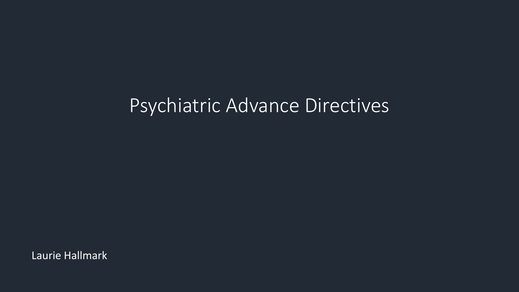Laurie Hallmark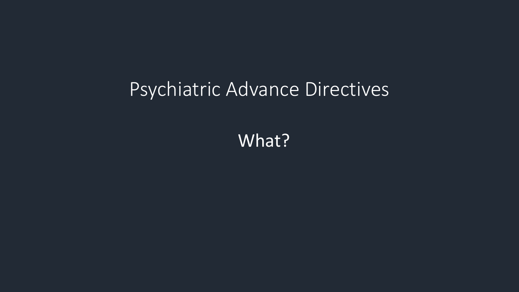What?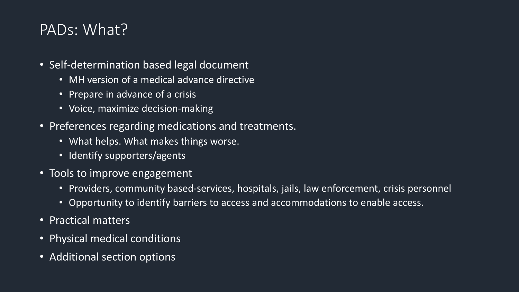#### PADs: What?

- Self-determination based legal document
	- MH version of a medical advance directive
	- Prepare in advance of a crisis
	- Voice, maximize decision-making
- Preferences regarding medications and treatments.
	- What helps. What makes things worse.
	- Identify supporters/agents
- Tools to improve engagement
	- Providers, community based-services, hospitals, jails, law enforcement, crisis personnel
	- Opportunity to identify barriers to access and accommodations to enable access.
- Practical matters
- Physical medical conditions
- Additional section options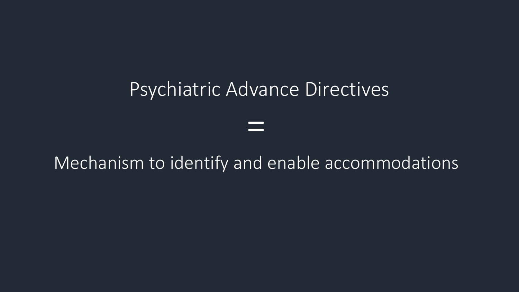## Mechanism to identify and enable accommodations

=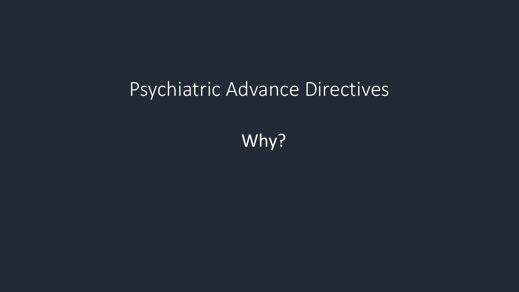Why?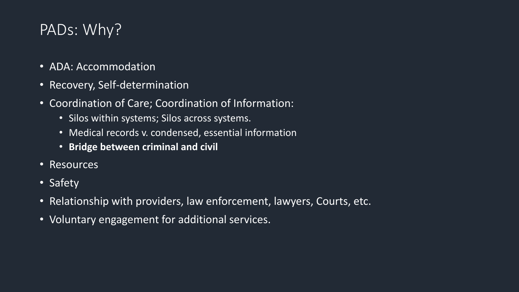#### PADs: Why?

- ADA: Accommodation
- Recovery, Self-determination
- Coordination of Care; Coordination of Information:
	- Silos within systems; Silos across systems.
	- Medical records v. condensed, essential information
	- **Bridge between criminal and civil**
- Resources
- Safety
- Relationship with providers, law enforcement, lawyers, Courts, etc.
- Voluntary engagement for additional services.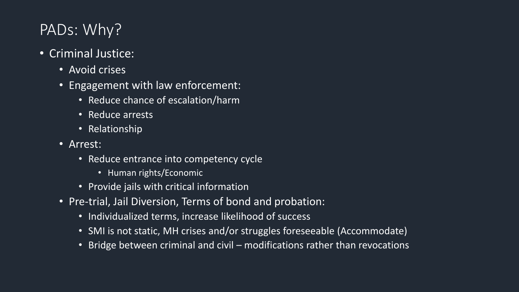#### PADs: Why?

- Criminal Justice:
	- Avoid crises
	- Engagement with law enforcement:
		- Reduce chance of escalation/harm
		- Reduce arrests
		- Relationship
	- Arrest:
		- Reduce entrance into competency cycle
			- Human rights/Economic
		- Provide jails with critical information
	- Pre-trial, Jail Diversion, Terms of bond and probation:
		- Individualized terms, increase likelihood of success
		- SMI is not static, MH crises and/or struggles foreseeable (Accommodate)
		- Bridge between criminal and civil modifications rather than revocations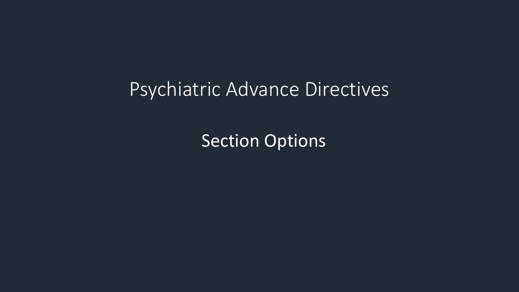Section Options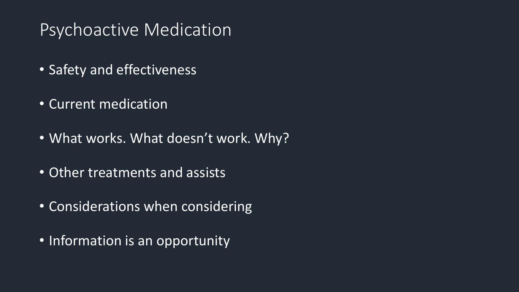# Psychoactive Medication

- Safety and effectiveness
- Current medication
- What works. What doesn't work. Why?
- Other treatments and assists
- Considerations when considering
- Information is an opportunity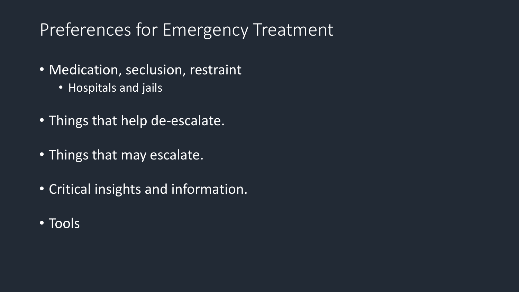# Preferences for Emergency Treatment

- Medication, seclusion, restraint
	- Hospitals and jails
- Things that help de-escalate.
- Things that may escalate.
- Critical insights and information.
- Tools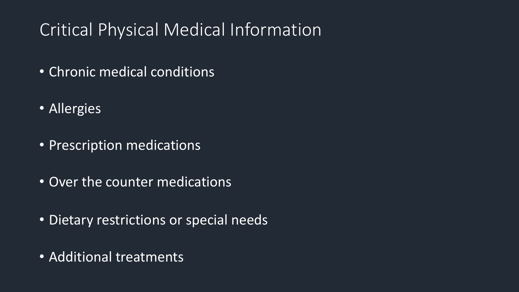# Critical Physical Medical Information

- Chronic medical conditions
- Allergies
- Prescription medications
- Over the counter medications
- Dietary restrictions or special needs
- Additional treatments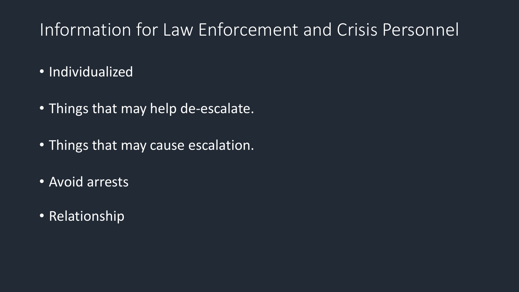# Information for Law Enforcement and Crisis Personnel

- Individualized
- Things that may help de-escalate.
- Things that may cause escalation.
- Avoid arrests
- Relationship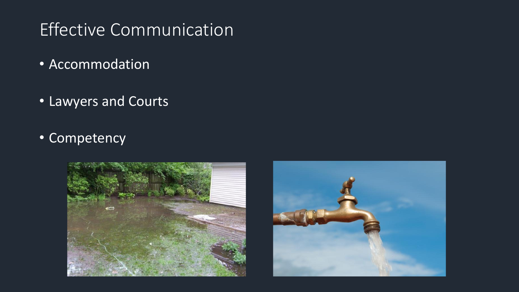# Effective Communication

- Accommodation
- Lawyers and Courts
- Competency



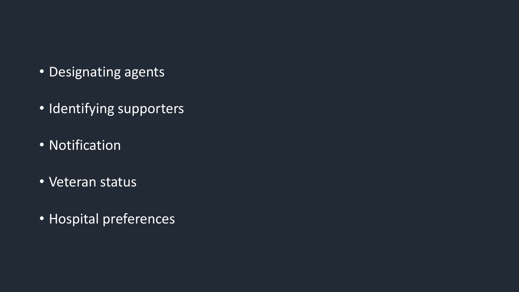- Designating agents
- Identifying supporters
- Notification
- Veteran status
- Hospital preferences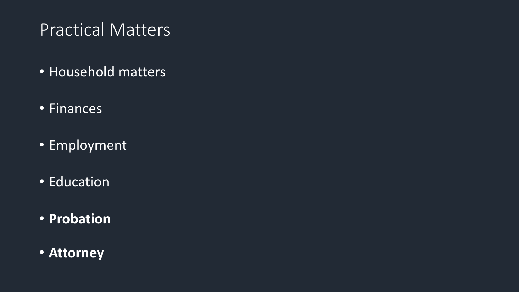# Practical Matters

- Household matters
- Finances
- Employment
- Education
- **Probation**
- **Attorney**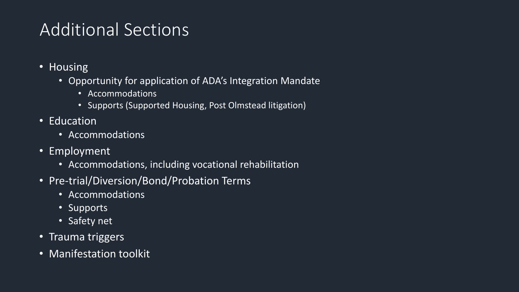# Additional Sections

- Housing
	- Opportunity for application of ADA's Integration Mandate
		- Accommodations
		- Supports (Supported Housing, Post Olmstead litigation)
- Education
	- Accommodations
- Employment
	- Accommodations, including vocational rehabilitation
- Pre-trial/Diversion/Bond/Probation Terms
	- Accommodations
	- Supports
	- Safety net
- Trauma triggers
- Manifestation toolkit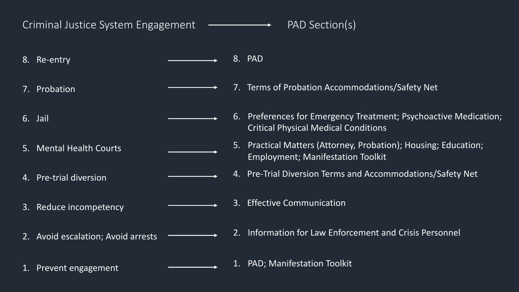#### Criminal Justice System Engagement ———————— PAD Section(s)

8. Re-entry

7. Probation

6. Jail

5. Mental Health Courts

4. Pre-trial diversion

3. Reduce incompetency

2. Avoid escalation; Avoid arrests

8. PAD

7. Terms of Probation Accommodations/Safety Net

6. Preferences for Emergency Treatment; Psychoactive Medication; Critical Physical Medical Conditions

5. Practical Matters (Attorney, Probation); Housing; Education; Employment; Manifestation Toolkit

4. Pre-Trial Diversion Terms and Accommodations/Safety Net

3. Effective Communication

2. Information for Law Enforcement and Crisis Personnel

1. PAD; Manifestation Toolkit

1. Prevent engagement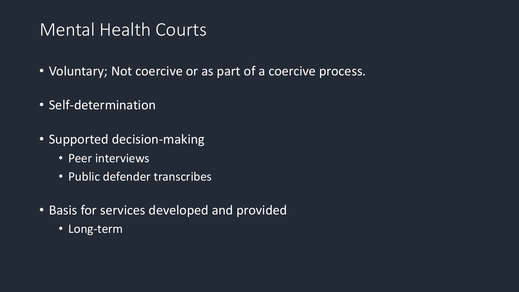## Mental Health Courts

- Voluntary; Not coercive or as part of a coercive process.
- Self-determination
- Supported decision-making
	- Peer interviews
	- Public defender transcribes
- Basis for services developed and provided
	- Long-term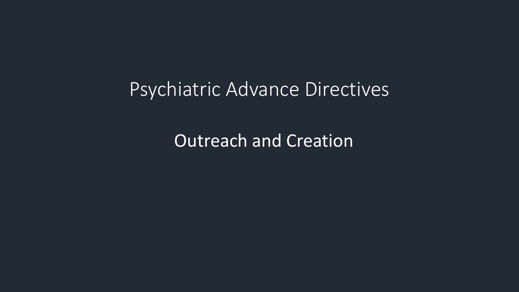**Outreach and Creation**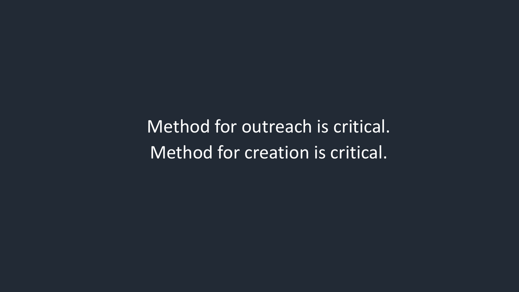Method for outreach is critical. Method for creation is critical.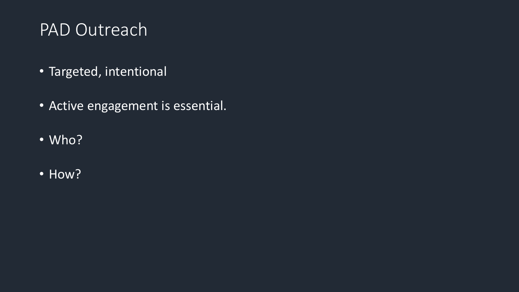#### PAD Outreach

- Targeted, intentional
- Active engagement is essential.
- Who?
- How?